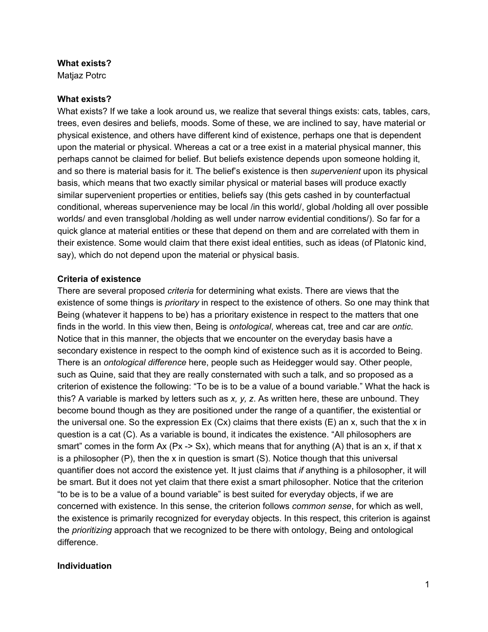## **What exists?**

Matiaz Potrc

# **What exists?**

What exists? If we take a look around us, we realize that several things exists: cats, tables, cars, trees, even desires and beliefs, moods. Some of these, we are inclined to say, have material or physical existence, and others have different kind of existence, perhaps one that is dependent upon the material or physical. Whereas a cat or a tree exist in a material physical manner, this perhaps cannot be claimed for belief. But beliefs existence depends upon someone holding it, and so there is material basis for it. The belief's existence is then *supervenient* upon its physical basis, which means that two exactly similar physical or material bases will produce exactly similar supervenient properties or entities, beliefs say (this gets cashed in by counterfactual conditional, whereas supervenience may be local /in this world/, global /holding all over possible worlds/ and even transglobal /holding as well under narrow evidential conditions/). So far for a quick glance at material entities or these that depend on them and are correlated with them in their existence. Some would claim that there exist ideal entities, such as ideas (of Platonic kind, say), which do not depend upon the material or physical basis.

# **Criteria of existence**

There are several proposed *criteria* for determining what exists. There are views that the existence of some things is *prioritary* in respect to the existence of others. So one may think that Being (whatever it happens to be) has a prioritary existence in respect to the matters that one finds in the world. In this view then, Being is *ontological*, whereas cat, tree and car are *ontic*. Notice that in this manner, the objects that we encounter on the everyday basis have a secondary existence in respect to the oomph kind of existence such as it is accorded to Being. There is an *ontological difference* here, people such as Heidegger would say. Other people, such as Quine, said that they are really consternated with such a talk, and so proposed as a criterion of existence the following: "To be is to be a value of a bound variable." What the hack is this? A variable is marked by letters such as *x, y, z*. As written here, these are unbound. They become bound though as they are positioned under the range of a quantifier, the existential or the universal one. So the expression  $Ex (Cx)$  claims that there exists  $(E)$  an x, such that the x in question is a cat (C). As a variable is bound, it indicates the existence. "All philosophers are smart" comes in the form Ax (Px -> Sx), which means that for anything (A) that is an x, if that x is a philosopher  $(P)$ , then the x in question is smart  $(S)$ . Notice though that this universal quantifier does not accord the existence yet. It just claims that *if* anything is a philosopher, it will be smart. But it does not yet claim that there exist a smart philosopher. Notice that the criterion "to be is to be a value of a bound variable" is best suited for everyday objects, if we are concerned with existence. In this sense, the criterion follows *common sense*, for which as well, the existence is primarily recognized for everyday objects. In this respect, this criterion is against the *prioritizing* approach that we recognized to be there with ontology, Being and ontological difference.

# **Individuation**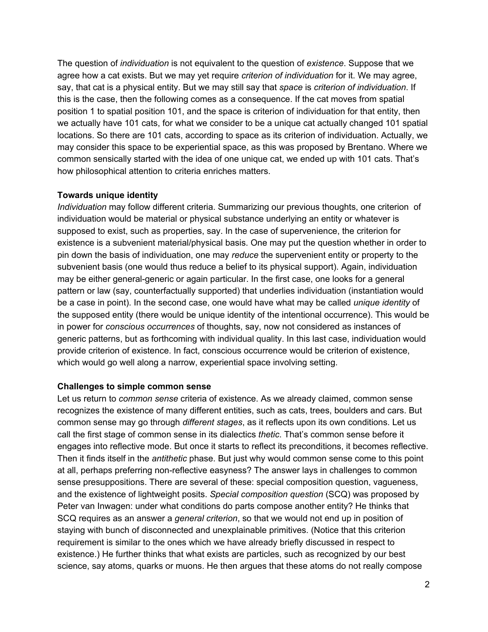The question of *individuation* is not equivalent to the question of *existence*. Suppose that we agree how a cat exists. But we may yet require *criterion of individuation* for it. We may agree, say, that cat is a physical entity. But we may still say that *space* is *criterion of individuation*. If this is the case, then the following comes as a consequence. If the cat moves from spatial position 1 to spatial position 101, and the space is criterion of individuation for that entity, then we actually have 101 cats, for what we consider to be a unique cat actually changed 101 spatial locations. So there are 101 cats, according to space as its criterion of individuation. Actually, we may consider this space to be experiential space, as this was proposed by Brentano. Where we common sensically started with the idea of one unique cat, we ended up with 101 cats. That's how philosophical attention to criteria enriches matters.

## **Towards unique identity**

*Individuation* may follow different criteria. Summarizing our previous thoughts, one criterion of individuation would be material or physical substance underlying an entity or whatever is supposed to exist, such as properties, say. In the case of supervenience, the criterion for existence is a subvenient material/physical basis. One may put the question whether in order to pin down the basis of individuation, one may *reduce* the supervenient entity or property to the subvenient basis (one would thus reduce a belief to its physical support). Again, individuation may be either general-generic or again particular. In the first case, one looks for a general pattern or law (say, counterfactually supported) that underlies individuation (instantiation would be a case in point). In the second case, one would have what may be called *unique identity* of the supposed entity (there would be unique identity of the intentional occurrence). This would be in power for *conscious occurrences* of thoughts, say, now not considered as instances of generic patterns, but as forthcoming with individual quality. In this last case, individuation would provide criterion of existence. In fact, conscious occurrence would be criterion of existence, which would go well along a narrow, experiential space involving setting.

### **Challenges to simple common sense**

Let us return to *common sense* criteria of existence. As we already claimed, common sense recognizes the existence of many different entities, such as cats, trees, boulders and cars. But common sense may go through *different stages*, as it reflects upon its own conditions. Let us call the first stage of common sense in its dialectics *thetic*. That's common sense before it engages into reflective mode. But once it starts to reflect its preconditions, it becomes reflective. Then it finds itself in the *antithetic* phase. But just why would common sense come to this point at all, perhaps preferring non-reflective easyness? The answer lays in challenges to common sense presuppositions. There are several of these: special composition question, vagueness, and the existence of lightweight posits. *Special composition question* (SCQ) was proposed by Peter van Inwagen: under what conditions do parts compose another entity? He thinks that SCQ requires as an answer a *general criterion*, so that we would not end up in position of staying with bunch of disconnected and unexplainable primitives. (Notice that this criterion requirement is similar to the ones which we have already briefly discussed in respect to existence.) He further thinks that what exists are particles, such as recognized by our best science, say atoms, quarks or muons. He then argues that these atoms do not really compose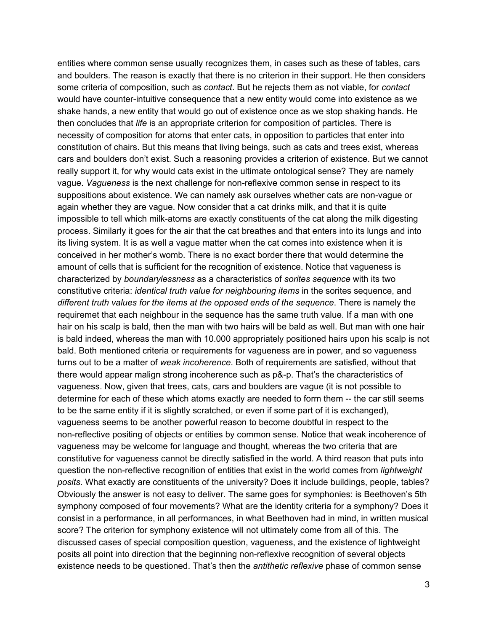entities where common sense usually recognizes them, in cases such as these of tables, cars and boulders. The reason is exactly that there is no criterion in their support. He then considers some criteria of composition, such as *contact*. But he rejects them as not viable, for *contact* would have counter-intuitive consequence that a new entity would come into existence as we shake hands, a new entity that would go out of existence once as we stop shaking hands. He then concludes that *life* is an appropriate criterion for composition of particles. There is necessity of composition for atoms that enter cats, in opposition to particles that enter into constitution of chairs. But this means that living beings, such as cats and trees exist, whereas cars and boulders don't exist. Such a reasoning provides a criterion of existence. But we cannot really support it, for why would cats exist in the ultimate ontological sense? They are namely vague. *Vagueness* is the next challenge for nonreflexive common sense in respect to its suppositions about existence. We can namely ask ourselves whether cats are non-vague or again whether they are vague. Now consider that a cat drinks milk, and that it is quite impossible to tell which milk-atoms are exactly constituents of the cat along the milk digesting process. Similarly it goes for the air that the cat breathes and that enters into its lungs and into its living system. It is as well a vague matter when the cat comes into existence when it is conceived in her mother's womb. There is no exact border there that would determine the amount of cells that is sufficient for the recognition of existence. Notice that vagueness is characterized by *boundarylessness* as a characteristics of *sorites sequence* with its two constitutive criteria: *identical truth value for neighbouring items* in the sorites sequence, and *different truth values for the items at the opposed ends of the sequence*. There is namely the requiremet that each neighbour in the sequence has the same truth value. If a man with one hair on his scalp is bald, then the man with two hairs will be bald as well. But man with one hair is bald indeed, whereas the man with 10.000 appropriately positioned hairs upon his scalp is not bald. Both mentioned criteria or requirements for vagueness are in power, and so vagueness turns out to be a matter of *weak incoherence*. Both of requirements are satisfied, without that there would appear malign strong incoherence such as  $p_{\alpha}$ - $p$ . That's the characteristics of vagueness. Now, given that trees, cats, cars and boulders are vague (it is not possible to determine for each of these which atoms exactly are needed to form them -- the car still seems to be the same entity if it is slightly scratched, or even if some part of it is exchanged), vagueness seems to be another powerful reason to become doubtful in respect to the non-reflective positing of objects or entities by common sense. Notice that weak incoherence of vagueness may be welcome for language and thought, whereas the two criteria that are constitutive for vagueness cannot be directly satisfied in the world. A third reason that puts into question the nonreflective recognition of entities that exist in the world comes from *lightweight posits*. What exactly are constituents of the university? Does it include buildings, people, tables? Obviously the answer is not easy to deliver. The same goes for symphonies: is Beethoven's 5th symphony composed of four movements? What are the identity criteria for a symphony? Does it consist in a performance, in all performances, in what Beethoven had in mind, in written musical score? The criterion for symphony existence will not ultimately come from all of this. The discussed cases of special composition question, vagueness, and the existence of lightweight posits all point into direction that the beginning non-reflexive recognition of several objects existence needs to be questioned. That's then the *antithetic reflexive* phase of common sense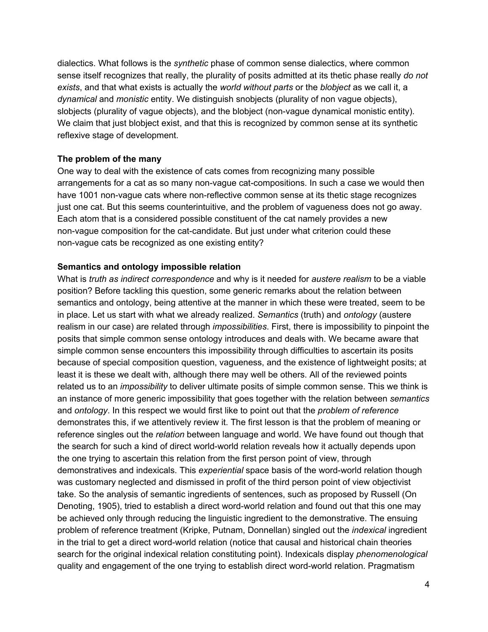dialectics. What follows is the *synthetic* phase of common sense dialectics, where common sense itself recognizes that really, the plurality of posits admitted at its thetic phase really *do not exists*, and that what exists is actually the *world without parts* or the *blobject* as we call it, a *dynamical* and *monistic* entity. We distinguish snobjects (plurality of non vague objects), slobjects (plurality of vague objects), and the blobject (non-vague dynamical monistic entity). We claim that just blobject exist, and that this is recognized by common sense at its synthetic reflexive stage of development.

### **The problem of the many**

One way to deal with the existence of cats comes from recognizing many possible arrangements for a cat as so many non-vague cat-compositions. In such a case we would then have 1001 non-vague cats where non-reflective common sense at its thetic stage recognizes just one cat. But this seems counterintuitive, and the problem of vagueness does not go away. Each atom that is a considered possible constituent of the cat namely provides a new non-vague composition for the cat-candidate. But just under what criterion could these non-vague cats be recognized as one existing entity?

#### **Semantics and ontology impossible relation**

What is *truth as indirect correspondence* and why is it needed for *austere realism* to be a viable position? Before tackling this question, some generic remarks about the relation between semantics and ontology, being attentive at the manner in which these were treated, seem to be in place. Let us start with what we already realized. *Semantics* (truth) and *ontology* (austere realism in our case) are related through *impossibilities*. First, there is impossibility to pinpoint the posits that simple common sense ontology introduces and deals with. We became aware that simple common sense encounters this impossibility through difficulties to ascertain its posits because of special composition question, vagueness, and the existence of lightweight posits; at least it is these we dealt with, although there may well be others. All of the reviewed points related us to an *impossibility* to deliver ultimate posits of simple common sense. This we think is an instance of more generic impossibility that goes together with the relation between *semantics* and *ontology*. In this respect we would first like to point out that the *problem of reference* demonstrates this, if we attentively review it. The first lesson is that the problem of meaning or reference singles out the *relation* between language and world. We have found out though that the search for such a kind of direct world-world relation reveals how it actually depends upon the one trying to ascertain this relation from the first person point of view, through demonstratives and indexicals. This *experiential* space basis of the word-world relation though was customary neglected and dismissed in profit of the third person point of view objectivist take. So the analysis of semantic ingredients of sentences, such as proposed by Russell (On Denoting, 1905), tried to establish a direct word-world relation and found out that this one may be achieved only through reducing the linguistic ingredient to the demonstrative. The ensuing problem of reference treatment (Kripke, Putnam, Donnellan) singled out the *indexical* ingredient in the trial to get a direct word-world relation (notice that causal and historical chain theories search for the original indexical relation constituting point). Indexicals display *phenomenological* quality and engagement of the one trying to establish direct word-world relation. Pragmatism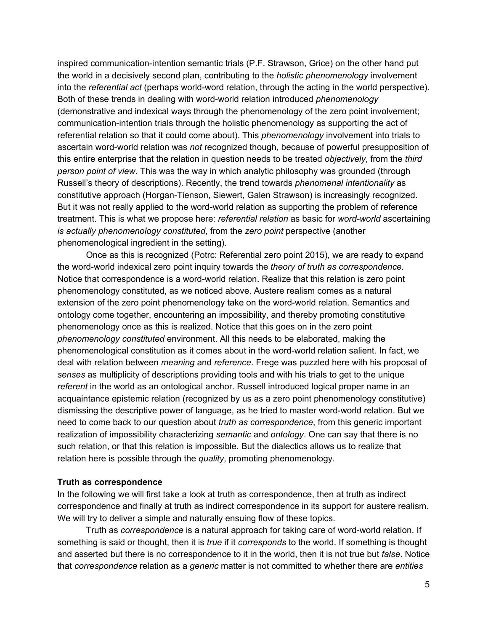inspired communication-intention semantic trials (P.F. Strawson, Grice) on the other hand put the world in a decisively second plan, contributing to the *holistic phenomenology* involvement into the *referential act* (perhaps world-word relation, through the acting in the world perspective). Both of these trends in dealing with word-world relation introduced *phenomenology* (demonstrative and indexical ways through the phenomenology of the zero point involvement; communication-intention trials through the holistic phenomenology as supporting the act of referential relation so that it could come about). This *phenomenology* involvement into trials to ascertain word-world relation was *not* recognized though, because of powerful presupposition of this entire enterprise that the relation in question needs to be treated *objectively*, from the *third person point of view*. This was the way in which analytic philosophy was grounded (through Russell's theory of descriptions). Recently, the trend towards *phenomenal intentionality* as constitutive approach (Horgan-Tienson, Siewert, Galen Strawson) is increasingly recognized. But it was not really applied to the word-world relation as supporting the problem of reference treatment. This is what we propose here: *referential relation* as basic for *word-world* ascertaining *is actually phenomenology constituted*, from the *zero point* perspective (another phenomenological ingredient in the setting).

Once as this is recognized (Potrc: Referential zero point 2015), we are ready to expand the wordworld indexical zero point inquiry towards the *theory of truth as correspondence*. Notice that correspondence is a word-world relation. Realize that this relation is zero point phenomenology constituted, as we noticed above. Austere realism comes as a natural extension of the zero point phenomenology take on the word-world relation. Semantics and ontology come together, encountering an impossibility, and thereby promoting constitutive phenomenology once as this is realized. Notice that this goes on in the zero point *phenomenology constituted* environment. All this needs to be elaborated, making the phenomenological constitution as it comes about in the word-world relation salient. In fact, we deal with relation between *meaning* and *reference*. Frege was puzzled here with his proposal of *senses* as multiplicity of descriptions providing tools and with his trials to get to the unique *referent* in the world as an ontological anchor. Russell introduced logical proper name in an acquaintance epistemic relation (recognized by us as a zero point phenomenology constitutive) dismissing the descriptive power of language, as he tried to master word-world relation. But we need to come back to our question about *truth as correspondence*, from this generic important realization of impossibility characterizing *semantic* and *ontology*. One can say that there is no such relation, or that this relation is impossible. But the dialectics allows us to realize that relation here is possible through the *quality*, promoting phenomenology.

### **Truth as correspondence**

In the following we will first take a look at truth as correspondence, then at truth as indirect correspondence and finally at truth as indirect correspondence in its support for austere realism. We will try to deliver a simple and naturally ensuing flow of these topics.

Truth as *correspondence* is a natural approach for taking care of word-world relation. If something is said or thought, then it is *true* if it *corresponds* to the world. If something is thought and asserted but there is no correspondence to it in the world, then it is not true but *false*. Notice that *correspondence* relation as a *generic* matter is not committed to whether there are *entities*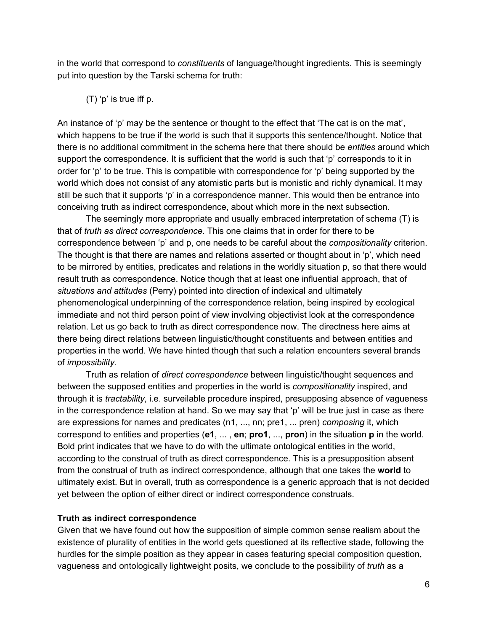in the world that correspond to *constituents* of language/thought ingredients. This is seemingly put into question by the Tarski schema for truth:

(T) 'p' is true iff p.

An instance of 'p' may be the sentence or thought to the effect that 'The cat is on the mat', which happens to be true if the world is such that it supports this sentence/thought. Notice that there is no additional commitment in the schema here that there should be *entities* around which support the correspondence. It is sufficient that the world is such that 'p' corresponds to it in order for 'p' to be true. This is compatible with correspondence for 'p' being supported by the world which does not consist of any atomistic parts but is monistic and richly dynamical. It may still be such that it supports 'p' in a correspondence manner. This would then be entrance into conceiving truth as indirect correspondence, about which more in the next subsection.

The seemingly more appropriate and usually embraced interpretation of schema (T) is that of *truth as direct correspondence*. This one claims that in order for there to be correspondence between 'p' and p, one needs to be careful about the *compositionality* criterion. The thought is that there are names and relations asserted or thought about in 'p', which need to be mirrored by entities, predicates and relations in the worldly situation p, so that there would result truth as correspondence. Notice though that at least one influential approach, that of *situations and attitudes* (Perry) pointed into direction of indexical and ultimately phenomenological underpinning of the correspondence relation, being inspired by ecological immediate and not third person point of view involving objectivist look at the correspondence relation. Let us go back to truth as direct correspondence now. The directness here aims at there being direct relations between linguistic/thought constituents and between entities and properties in the world. We have hinted though that such a relation encounters several brands of *impossibility*.

Truth as relation of *direct correspondence* between linguistic/thought sequences and between the supposed entities and properties in the world is *compositionality* inspired, and through it is *tractability*, i.e. surveilable procedure inspired, presupposing absence of vagueness in the correspondence relation at hand. So we may say that 'p' will be true just in case as there are expressions for names and predicates (n1, ..., nn; pre1, ... pren) *composing* it, which correspond to entities and properties (**e1**, ... , **en**;**pro1**, ..., **pron**) in the situation **p**in the world. Bold print indicates that we have to do with the ultimate ontological entities in the world, according to the construal of truth as direct correspondence. This is a presupposition absent from the construal of truth as indirect correspondence, although that one takes the **world**to ultimately exist. But in overall, truth as correspondence is a generic approach that is not decided yet between the option of either direct or indirect correspondence construals.

# **Truth as indirect correspondence**

Given that we have found out how the supposition of simple common sense realism about the existence of plurality of entities in the world gets questioned at its reflective stade, following the hurdles for the simple position as they appear in cases featuring special composition question, vagueness and ontologically lightweight posits, we conclude to the possibility of *truth* as a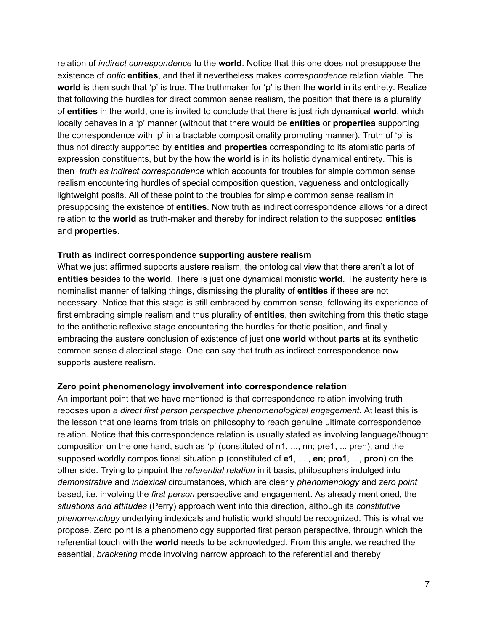relation of *indirect correspondence* to the **world**. Notice that this one does not presuppose the existence of *ontic* **entities**, and that it nevertheless makes *correspondence* relation viable. The **world**is then such that 'p' is true. The truthmaker for 'p' is then the **world**in its entirety. Realize that following the hurdles for direct common sense realism, the position that there is a plurality of **entities**in the world, one is invited to conclude that there is just rich dynamical **world**, which locally behaves in a 'p' manner (without that there would be **entities** or **properties** supporting the correspondence with 'p' in a tractable compositionality promoting manner). Truth of 'p' is thus not directly supported by **entities**and **properties**corresponding to its atomistic parts of expression constituents, but by the how the **world**is in its holistic dynamical entirety. This is then *truth as indirect correspondence* which accounts for troubles for simple common sense realism encountering hurdles of special composition question, vagueness and ontologically lightweight posits. All of these point to the troubles for simple common sense realism in presupposing the existence of **entities**.Now truth as indirect correspondence allows for a direct relation to the world as truth-maker and thereby for indirect relation to the supposed entities and **properties**.

## **Truth as indirect correspondence supporting austere realism**

What we just affirmed supports austere realism, the ontological view that there aren't a lot of **entities** besides to the **world**. There is just one dynamical monistic **world**. The austerity here is nominalist manner of talking things, dismissing the plurality of **entities**if these are not necessary. Notice that this stage is still embraced by common sense, following its experience of first embracing simple realism and thus plurality of **entities**, then switching from this thetic stage to the antithetic reflexive stage encountering the hurdles for thetic position, and finally embracing the austere conclusion of existence of just one **world**without **parts**at its synthetic common sense dialectical stage. One can say that truth as indirect correspondence now supports austere realism.

### **Zero point phenomenology involvement into correspondence relation**

An important point that we have mentioned is that correspondence relation involving truth reposes upon *a direct first person perspective phenomenological engagement*. At least this is the lesson that one learns from trials on philosophy to reach genuine ultimate correspondence relation. Notice that this correspondence relation is usually stated as involving language/thought composition on the one hand, such as 'p' (constituted of n1, ..., nn; pre1, ... pren), and the supposed worldly compositional situation **p**(constituted of **e1**, ... , **en**;**pro1**,..., **pron**) on the other side. Trying to pinpoint the *referential relation* in it basis, philosophers indulged into *demonstrative* and *indexical* circumstances, which are clearly *phenomenology* and *zero point* based, i.e. involving the *first person* perspective and engagement. As already mentioned, the *situations and attitudes* (Perry) approach went into this direction, although its *constitutive phenomenology* underlying indexicals and holistic world should be recognized. This is what we propose. Zero point is a phenomenology supported first person perspective, through which the referential touch with the **world**needs to be acknowledged. From this angle, we reached the essential, *bracketing* mode involving narrow approach to the referential and thereby